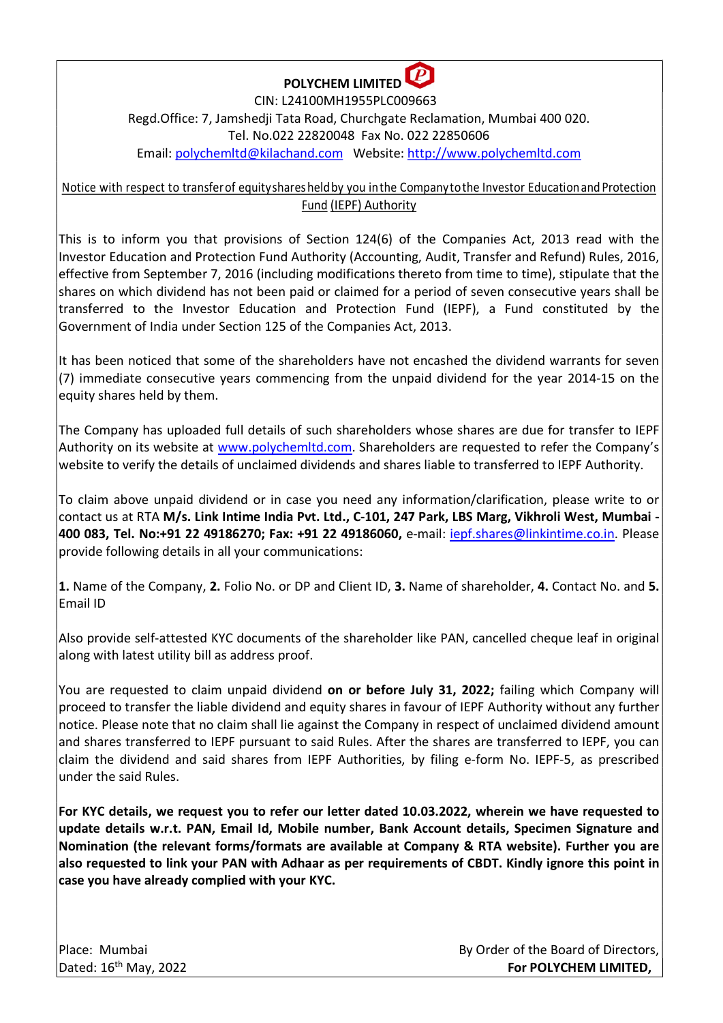

 CIN: L24100MH1955PLC009663 Regd.Office: 7, Jamshedji Tata Road, Churchgate Reclamation, Mumbai 400 020. Tel. No.022 22820048 Fax No. 022 22850606 Email: polychemltd@kilachand.com Website: http://www.polychemltd.com

Notice with respect to transfer of equity shares held by you in the Company to the Investor Education and Protection Fund (IEPF) Authority

This is to inform you that provisions of Section 124(6) of the Companies Act, 2013 read with the Investor Education and Protection Fund Authority (Accounting, Audit, Transfer and Refund) Rules, 2016, effective from September 7, 2016 (including modifications thereto from time to time), stipulate that the shares on which dividend has not been paid or claimed for a period of seven consecutive years shall be transferred to the Investor Education and Protection Fund (IEPF), a Fund constituted by the Government of India under Section 125 of the Companies Act, 2013.

It has been noticed that some of the shareholders have not encashed the dividend warrants for seven (7) immediate consecutive years commencing from the unpaid dividend for the year 2014-15 on the equity shares held by them.

The Company has uploaded full details of such shareholders whose shares are due for transfer to IEPF Authority on its website at www.polychemltd.com. Shareholders are requested to refer the Company's website to verify the details of unclaimed dividends and shares liable to transferred to IEPF Authority.

To claim above unpaid dividend or in case you need any information/clarification, please write to or contact us at RTA M/s. Link Intime India Pvt. Ltd., C-101, 247 Park, LBS Marg, Vikhroli West, Mumbai -400 083, Tel. No:+91 22 49186270; Fax: +91 22 49186060, e-mail: iepf.shares@linkintime.co.in. Please provide following details in all your communications:

1. Name of the Company, 2. Folio No. or DP and Client ID, 3. Name of shareholder, 4. Contact No. and 5. Email ID

Also provide self-attested KYC documents of the shareholder like PAN, cancelled cheque leaf in original along with latest utility bill as address proof.

You are requested to claim unpaid dividend on or before July 31, 2022; failing which Company will proceed to transfer the liable dividend and equity shares in favour of IEPF Authority without any further notice. Please note that no claim shall lie against the Company in respect of unclaimed dividend amount and shares transferred to IEPF pursuant to said Rules. After the shares are transferred to IEPF, you can claim the dividend and said shares from IEPF Authorities, by filing e-form No. IEPF-5, as prescribed under the said Rules.

For KYC details, we request you to refer our letter dated 10.03.2022, wherein we have requested to update details w.r.t. PAN, Email Id, Mobile number, Bank Account details, Specimen Signature and Nomination (the relevant forms/formats are available at Company & RTA website). Further you are also requested to link your PAN with Adhaar as per requirements of CBDT. Kindly ignore this point in case you have already complied with your KYC.